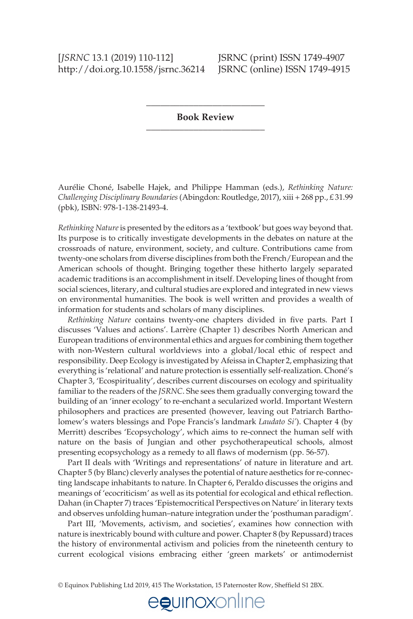## [*JSRNC* 13.1 (2019) 110-112] **JSRNC** (print) ISSN 1749-4907 http://doi.org.10.1558/jsrnc.36214 JSRNC (online) ISSN 1749-4915

\_\_\_\_\_\_\_\_\_\_\_\_\_\_\_\_\_\_\_\_\_\_\_\_\_ **Book Review** \_\_\_\_\_\_\_\_\_\_\_\_\_\_\_\_\_\_\_\_\_\_\_\_\_

Aurélie Choné, Isabelle Hajek, and Philippe Hamman (eds.), *Rethinking Nature: Challenging Disciplinary Boundaries* (Abingdon: Routledge, 2017), xiii + 268 pp., £ 31.99 (pbk), ISBN: 978-1-138-21493-4.

*Rethinking Nature* is presented by the editors as a 'textbook' but goes way beyond that. Its purpose is to critically investigate developments in the debates on nature at the crossroads of nature, environment, society, and culture. Contributions came from twenty-one scholars from diverse disciplines from both the French/European and the American schools of thought. Bringing together these hitherto largely separated academic traditions is an accomplishment in itself. Developing lines of thought from social sciences, literary, and cultural studies are explored and integrated in new views on environmental humanities. The book is well written and provides a wealth of information for students and scholars of many disciplines.

*Rethinking Nature* contains twenty-one chapters divided in five parts. Part I discusses 'Values and actions'. Larrère (Chapter 1) describes North American and European traditions of environmental ethics and argues for combining them together with non-Western cultural worldviews into a global/local ethic of respect and responsibility. Deep Ecology is investigated by Afeissa in Chapter 2, emphasizing that everything is 'relational' and nature protection is essentially self-realization. Choné's Chapter 3, 'Ecospirituality', describes current discourses on ecology and spirituality familiar to the readers of the *JSRNC*. She sees them gradually converging toward the building of an 'inner ecology' to re-enchant a secularized world. Important Western philosophers and practices are presented (however, leaving out Patriarch Bartholomew's waters blessings and Pope Francis's landmark *Laudato Si'*). Chapter 4 (by Merritt) describes 'Ecopsychology', which aims to re-connect the human self with nature on the basis of Jungian and other psychotherapeutical schools, almost presenting ecopsychology as a remedy to all flaws of modernism (pp. 56-57).

 Part II deals with 'Writings and representations' of nature in literature and art. Chapter 5 (by Blanc) cleverly analyses the potential of nature aesthetics for re-connecting landscape inhabitants to nature. In Chapter 6, Peraldo discusses the origins and meanings of 'ecocriticism' as well as its potential for ecological and ethical reflection. Dahan (in Chapter 7) traces 'Epistemocritical Perspectives on Nature' in literary texts and observes unfolding human–nature integration under the 'posthuman paradigm'.

 Part III, 'Movements, activism, and societies', examines how connection with nature is inextricably bound with culture and power. Chapter 8 (by Repussard) traces the history of environmental activism and policies from the nineteenth century to current ecological visions embracing either 'green markets' or antimodernist

egunoxonline

© Equinox Publishing Ltd 2019, 415 The Workstation, 15 Paternoster Row, Shefleld S1 2BX.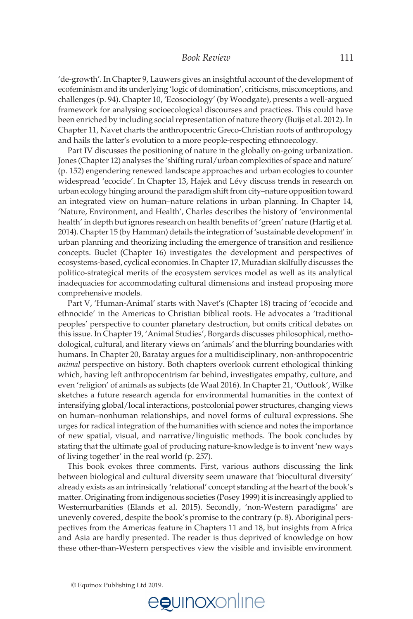'de-growth'. In Chapter 9, Lauwers gives an insightful account of the development of ecofeminism and its underlying 'logic of domination', criticisms, misconceptions, and challenges (p. 94). Chapter 10, 'Ecosociology' (by Woodgate), presents a well-argued framework for analysing socioecological discourses and practices. This could have been enriched by including social representation of nature theory (Buijs et al. 2012). In Chapter 11, Navet charts the anthropocentric Greco-Christian roots of anthropology and hails the latter's evolution to a more people-respecting ethnoecology.

 Part IV discusses the positioning of nature in the globally on-going urbanization. Jones (Chapter 12) analyses the 'shifting rural/urban complexities of space and nature' (p. 152) engendering renewed landscape approaches and urban ecologies to counter widespread 'ecocide'. In Chapter 13, Hajek and Lévy discuss trends in research on urban ecology hinging around the paradigm shift from city–nature opposition toward an integrated view on human–nature relations in urban planning. In Chapter 14, 'Nature, Environment, and Health', Charles describes the history of 'environmental health' in depth but ignores research on health benefits of 'green' nature (Hartig et al. 2014). Chapter 15 (by Hamman) details the integration of 'sustainable development' in urban planning and theorizing including the emergence of transition and resilience concepts. Buclet (Chapter 16) investigates the development and perspectives of ecosystems-based, cyclical economies. In Chapter 17, Muradian skilfully discusses the politico-strategical merits of the ecosystem services model as well as its analytical inadequacies for accommodating cultural dimensions and instead proposing more comprehensive models.

 Part V, 'Human-Animal' starts with Navet's (Chapter 18) tracing of 'ecocide and ethnocide' in the Americas to Christian biblical roots. He advocates a 'traditional peoples' perspective to counter planetary destruction, but omits critical debates on this issue. In Chapter 19, 'Animal Studies', Borgards discusses philosophical, methodological, cultural, and literary views on 'animals' and the blurring boundaries with humans. In Chapter 20, Baratay argues for a multidisciplinary, non-anthropocentric *animal* perspective on history. Both chapters overlook current ethological thinking which, having left anthropocentrism far behind, investigates empathy, culture, and even 'religion' of animals as subjects (de Waal 2016). In Chapter 21, 'Outlook', Wilke sketches a future research agenda for environmental humanities in the context of intensifying global/local interactions, postcolonial power structures, changing views on human–nonhuman relationships, and novel forms of cultural expressions. She urges for radical integration of the humanities with science and notes the importance of new spatial, visual, and narrative/linguistic methods. The book concludes by stating that the ultimate goal of producing nature-knowledge is to invent 'new ways of living together' in the real world (p. 257).

 This book evokes three comments. First, various authors discussing the link between biological and cultural diversity seem unaware that 'biocultural diversity' already exists as an intrinsically 'relational' concept standing at the heart of the book's matter. Originating from indigenous societies (Posey 1999) it is increasingly applied to Westernurbanities (Elands et al. 2015). Secondly, 'non-Western paradigms' are unevenly covered, despite the book's promise to the contrary (p. 8). Aboriginal perspectives from the Americas feature in Chapters 11 and 18, but insights from Africa and Asia are hardly presented. The reader is thus deprived of knowledge on how these other-than-Western perspectives view the visible and invisible environment.

© Equinox Publishing Ltd 2019.